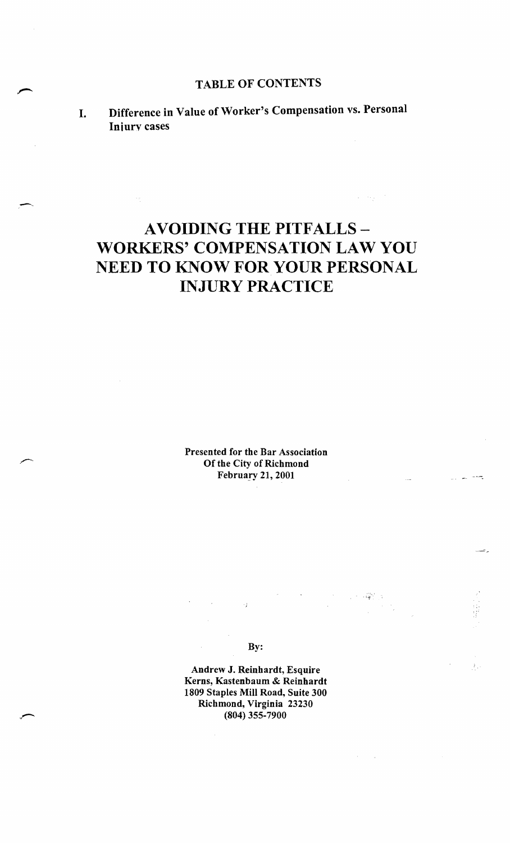# AVOIDING THE PITFALLS-WORKERS' COMPENSATION LAW YOU NEED TO KNOW FOR YOUR PERSONAL INJURY PRACTICE

Presented for the Bar Association Of the City of Richmond February 21, 2001

By:

 $\rightarrow \pm$ 

"..,

 $\sim$  $f_{\rm{eff}}$ 

 $\omega = \omega_{\rm eff}$  .

Andrew J. Reinhardt, Esquire Kerns, Kastenbaum & Reinhardt 1809 Staples Mill Road, Suite 300 Richmond, Virginia 23230 (804) 355-7900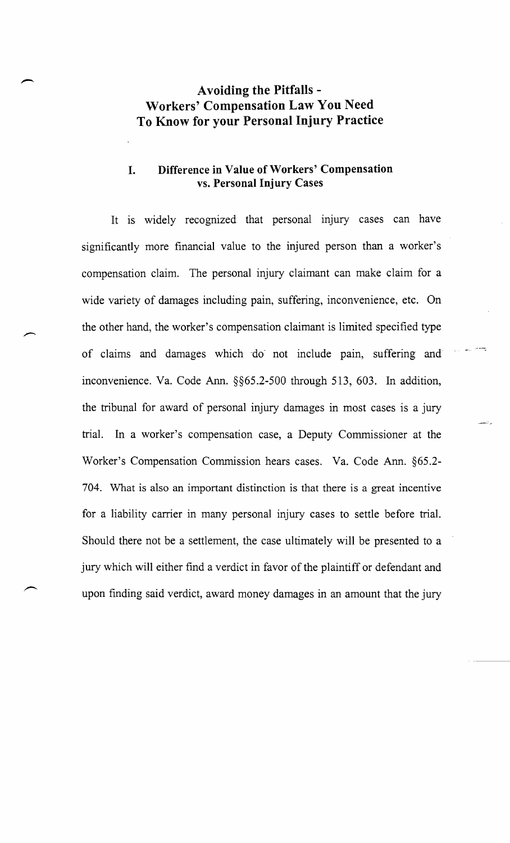# **Avoiding the Pitfalls - Workers' Compensation Law You Need To Know for your Personal Injury Practice**

# **I. Difference in Value** of Workers' **Compensation vs. Personal Injury Cases**

It is widely recognized that personal injury cases can have significantly more financial value to the injured person than a worker's compensation claim. The personal injury claimant can make claim for a wide variety of damages including pain, suffering, inconvenience, etc. On the other hand, the worker's compensation claimant is limited specified type of claims and damages which ~do- not include pain, suffering and inconvenience. Va. Code Ann. §§65.2-500 through 513, 603. **In** addition, the tribunal for award of personal injury damages in most cases is a jury trial. **In** a worker's compensation case, a Deputy Commissioner at the Worker's Compensation Commission hears cases. Va. Code Ann. §65.2- 704. What is also an important distinction is that there is a great incentive for a liability carrier in many personal injury cases to settle before trial. Should there not be a settlement, the case ultimately will be presented to a jury which will either find a verdict in favor of the plaintiff or defendant and upon finding said verdict, award money damages in an amount that the jury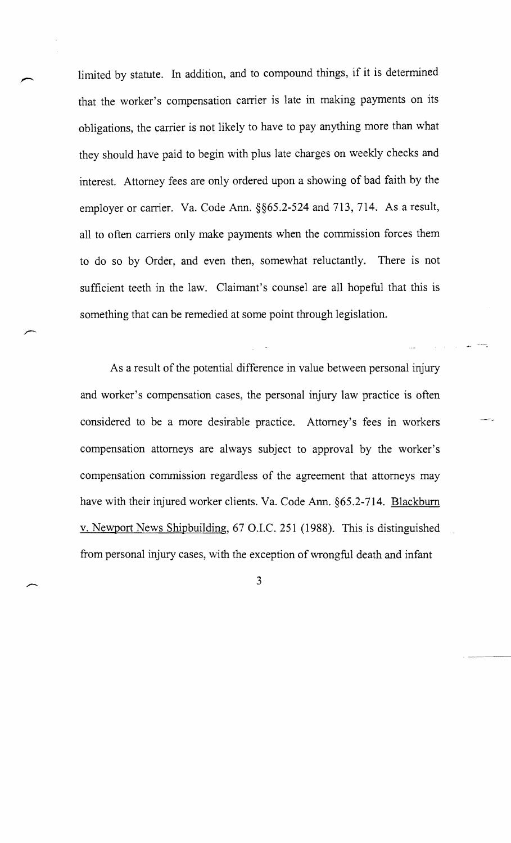limited by statute. In addition, and to compound things, if it is determined that the worker's compensation carrier is late in making payments on its obligations, the carrier is not likely to have to pay anything more than what they should have paid to begin with plus late charges on weekly checks and interest. Attorney fees are only ordered upon a showing of bad faith by the employer or carrier. Va. Code Ann. §§65.2-524 and 713, 714. As a result, all to often carriers only make payments when the commission forces them to do so by Order, and even then, somewhat reluctantly. There is not sufficient teeth in the law. Claimant's counsel are all hopeful that this is something that can be remedied at some point through legislation.

As a result of the potential difference in value between personal injury and worker's compensation cases, the personal injury law practice is often considered to be a more desirable practice. Attorney's fees in workers compensation attorneys are always subject to approval by the worker's compensation commission regardless of the agreement that attorneys may have with their injured worker clients. Va. Code Ann. §65.2-714. Blackburn v. Newport News Shipbuilding, 67 O.I.C. 251 (1988). This is distinguished from personal injury cases, with the exception of wrongful death and infant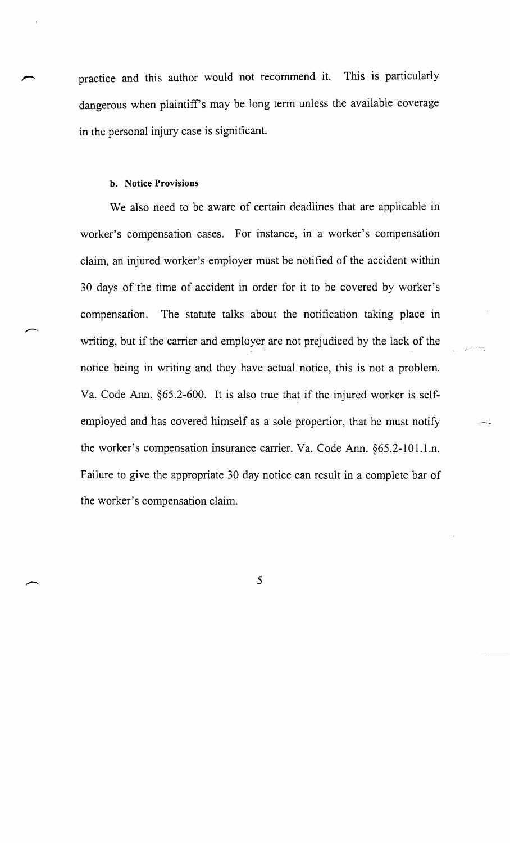practice and this author would not recommend it. This is particularly dangerous when plaintiffs may be long term unless the available coverage in the personal injury case is significant.

#### b. Notice Provisions

We also need to be aware of certain deadlines that are applicable in worker's compensation cases. For instance, in a worker's compensation claim, an injured worker's employer must be notified of the accident within 30 days of the time of accident in order for it to be covered by worker's compensation. The statute talks about the notification taking place in writing, but if the carrier and employer are not prejudiced by the lack of the notice being in writing and they have actual notice, this is not a problem. Va. Code Ann. §65.2-600. It is also true that if the injured worker is selfemployed and has covered himself as a sole propertior, that he must notify the worker's compensation insurance carrier. Va. Code Ann. §65.2-101.1.n. Failure to give the appropriate 30 day notice can result in a complete bar of the worker's compensation claim.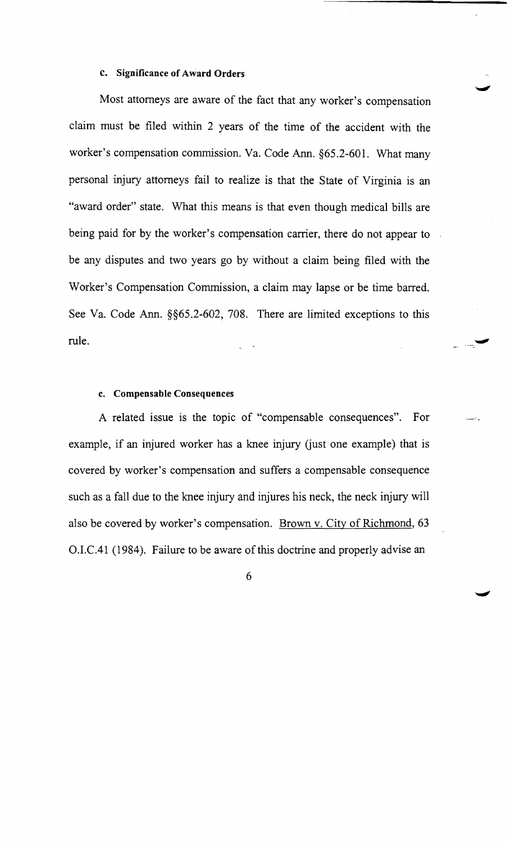#### c. Significance of Award Orders

Most attorneys are aware of the fact that any worker's compensation claim must be filed within 2 years of the time of the accident with the worker's compensation commission. Va. Code Ann. §65.2-601. What many personal injury attorneys fail to realize is that the State of Virginia is an "award order" state. What this means is that even though medical bills are being paid for by the worker's compensation carrier, there do not appear to be any disputes and two years go by without a claim being filed with the Worker's Compensation Commission, a claim may lapse or be time barred. See Va. Code Ann. §§65.2-602, 708. There are limited exceptions to this rule.

#### c. Compensable Consequences

A related issue is the topic of "compensable consequences". For example, if an injured worker has a knee injury (just one example) that is covered by worker's compensation and suffers a compensable consequence such as a fall due to the knee injury and injures his neck, the neck injury will also be covered by worker's compensation. Brown v. City of Richmond, 63 O.LC.4l (1984). Failure to be aware of this doctrine and properly advise an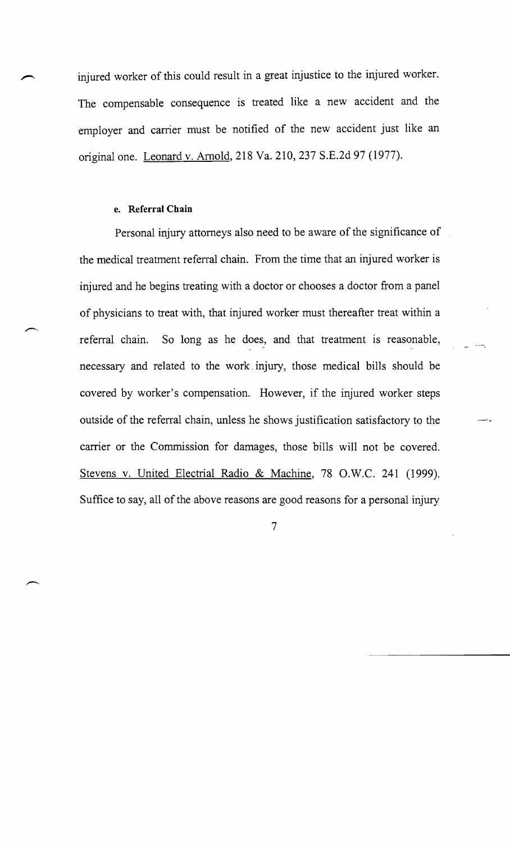injured worker of this could result in a great injustice to the injured worker. The compensable consequence is treated like a new accident and the employer and carrier must be notified of the new accident just like an original one. Leonard v. Arnold, 218 Va. 210, 237 S.E.2d 97 (1977).

#### e. **Referral Chain**

Personal injury attorneys also need to be aware of the significance of the medical treatment referral chain. From the time that an injured worker is injured and he begins treating with a doctor or chooses a doctor from a panel of physicians to treat with, that injured worker must thereafter treat within a referral chain. So long as he does, and that treatment is reasonable, necessary and related to the work. injury, those medical bills should be covered by worker's compensation. However, if the injured worker steps outside of the referral chain, unless he shows justification satisfactory to the carrier or the Commission for damages, those bills will not be covered. Stevens v. United Electrial Radio & Machine, 78 O.W.C. 241 (1999). Suffice to say, all of the above reasons are good reasons for a personal injury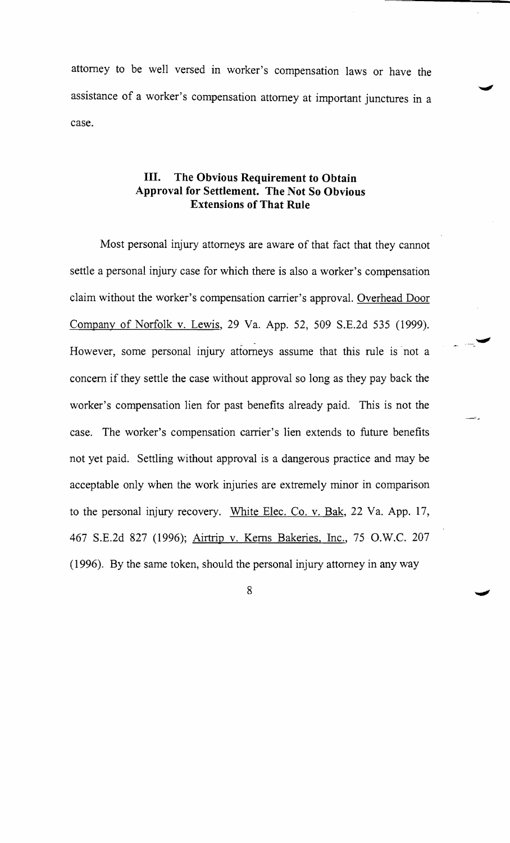attorney to be well versed in worker's compensation laws or have the assistance of a worker's compensation attorney at important junctures in a case.

# **III. The Obvious Requirement to Obtain Approval for Settlement. The Not So Obvious Extensions of That Rule**

Most personal injury attorneys are aware of that fact that they cannot settle a personal injury case for which there is also a worker's compensation claim without the worker's compensation carrier's approval. Overhead Door Company of Norfolk v. Lewis, 29 Va. App. 52, 509 S.E.2d 535 (1999). However, some personal injury attorneys assume that this rule is not a concern if they settle the case without approval so long as they pay back the worker's compensation lien for past benefits already paid. This is not the case. The worker's compensation carrier's lien extends to future benefits not yet paid. Settling without approval is a dangerous practice and may be acceptable only when the work injuries are extremely minor in comparison to the personal injury recovery. White Elec. Co. v. Bak, 22 Va. App. 17, 467 S.E.2d 827 (1996); Airtrip v. Kerns Bakeries, Inc., 75 O.W.C. 207 (1996). By the same token, should the personal injury attorney in any way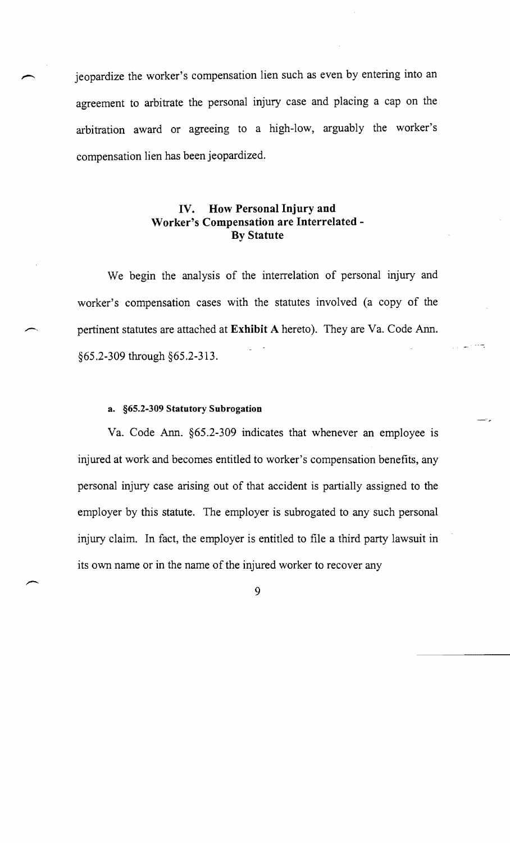jeopardize the worker's compensation lien such as even by entering into an agreement to arbitrate the personal injury case and placing a cap on the arbitration award or agreeing to a high-low, arguably the worker's compensation lien has been jeopardized.

# **IV. How Personal Injury and Worker's Compensation are Interrelated-By Statute**

We begin the analysis of the interrelation of personal injury and worker's compensation cases with the statutes involved (a copy of the /'""', pertinent statutes are attached at **Exhibit** A hereto). They are Va. Code Ann. §65.2-309 through §65.2-313.

#### a. §65.2-309 **Statutory Subrogation**

Va. Code Ann. §65.2-309 indicates that whenever an employee is injured at work and becomes entitled to worker's compensation benefits, any personal injury case arising out of that accident is partially assigned to the employer by this statute. The employer is subrogated to any such personal injury claim. In fact, the employer is entitled to file a third party lawsuit in its own name or in the name of the injured worker to recover any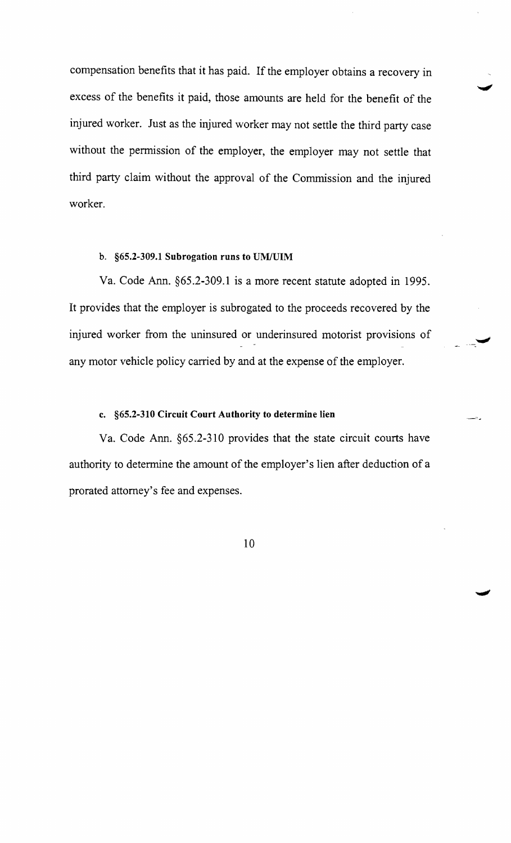compensation benefits that it has paid. If the employer obtains a recovery in excess of the benefits it paid, those amounts are held for the benefit of the injured worker. Just as the injured worker may not settle the third party case without the permission of the employer, the employer may not settle that third party claim without the approval of the Commission and the injured worker.

## b. §65.2-309.1 Subrogation runs to VM/VIM

Va. Code Ann. §65.2-309.1 is a more recent statute adopted in 1995. It provides that the employer is subrogated to the proceeds recovered by the injured worker from the uninsured or underinsured motorist provisions of any motor vehicle policy carried by and at the expense of the employer.

#### c. §65.2-310 Circuit Court Authority to determine lien

Va. Code Ann. §65.2-310 provides that the state circuit courts have authority to determine the amount of the employer's lien after deduction of a prorated attorney's fee and expenses.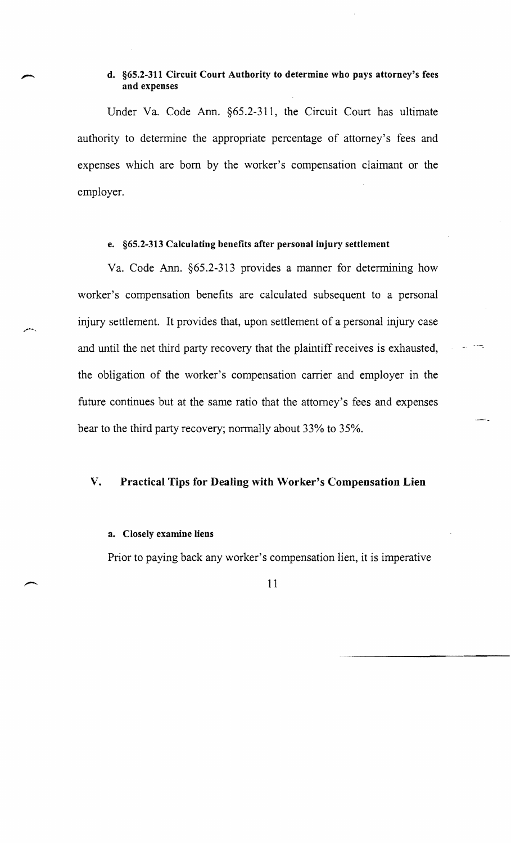# **d. §65.2-311 Circuit Court Authority to determine who pays attorney's fees and expenses**

Under Va. Code Ann. §65.2-311, the Circuit Court has ultimate authority to determine the appropriate percentage of attorney's fees and expenses which are born by the worker's compensation claimant or the employer.

# **e. §65.2-313 Calculating benefits after personal injury settlement**

Va. Code Ann. §65.2-3l3 provides a manner for determining how worker's compensation benefits are calculated subsequent to a personal injury settlement. It provides that, upon settlement of a personal injury case and until the net third party recovery that the plaintiff receives is exhausted, the obligation of the worker's compensation carrier and employer in the future continues but at the same ratio that the attorney's fees and expenses bear to the third party recovery; normally about 33% to 35%.

#### **V. Practical Tips for Dealing with Worker's Compensation Lien**

#### **a. Closely examine liens**

Prior to paying back any worker's compensation lien, it is imperative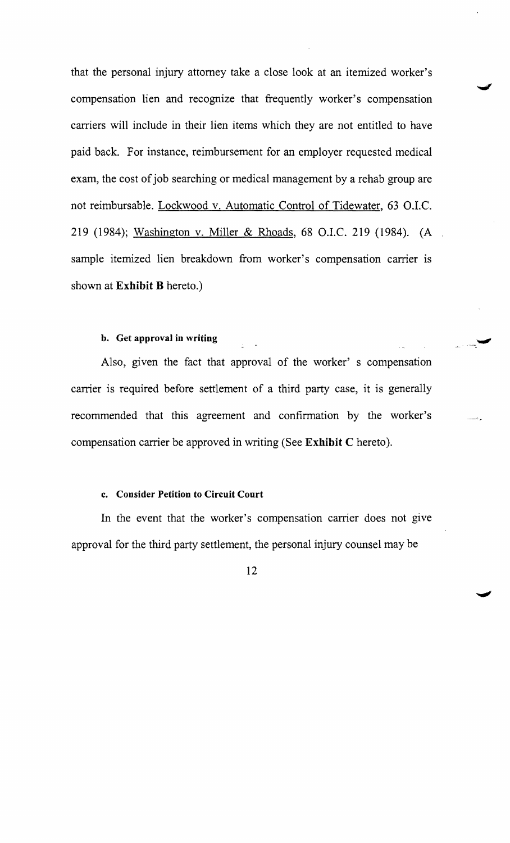that the personal injury attorney take a close look at an itemized worker's compensation lien and recognize that frequently worker's compensation carriers will include in their lien items which they are not entitled to have paid back. For instance, reimbursement for an employer requested medical exam, the cost of job searching or medical management by a rehab group are not reimbursable. Lockwood v. Automatic Control of Tidewater, 63 O.I.C. 219 (1984); Washington v. Miller & Rhoads, 68 O.I.C. 219 (1984). (A sample itemized lien breakdown from worker's compensation carrier is shown at Exhibit B hereto.)

#### b. Get approval in writing

Also, given the fact that approval of the worker' s compensation carrier is required before settlement of a third party case, it is generally recommended that this agreement and confirmation by the worker's compensation carrier be approved in writing (See Exhibit C hereto).

#### c. Consider Petition to Circuit Court

In the event that the worker's compensation carrier does not give approval for the third party settlement, the personal injury counsel may be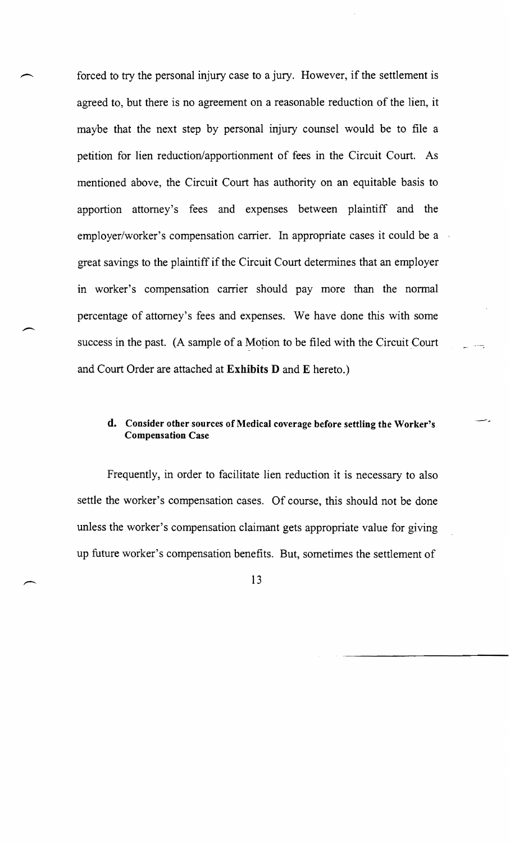forced to try the personal injury case to a jury. However, if the settlement is agreed to, but there is no agreement on a reasonable reduction of the lien, it maybe that the next step by personal injury counsel would be to file a petition for lien reduction/apportionment of fees in the Circuit Court. As mentioned above, the Circuit Court has authority on an equitable basis to apportion attorney's fees and expenses between plaintiff and the employer/worker's compensation carrier. In appropriate cases it could be a great savings to the plaintiff if the Circuit Court determines that an employer in worker's compensation carrier should pay more than the normal percentage of attorney's fees and expenses. We have done this with some success in the past. (A sample of a Motion to be filed with the Circuit Court and Court Order are attached at Exhibits D and E hereto.)

# d. Consider other sources of Medical coverage before settling the Worker's Compensation Case

Frequently, in order to facilitate lien reduction it is necessary to also settle the worker's compensation cases. Of course, this should not be done unless the worker's compensation claimant gets appropriate value for giving up future worker's compensation benefits. But, sometimes the settlement of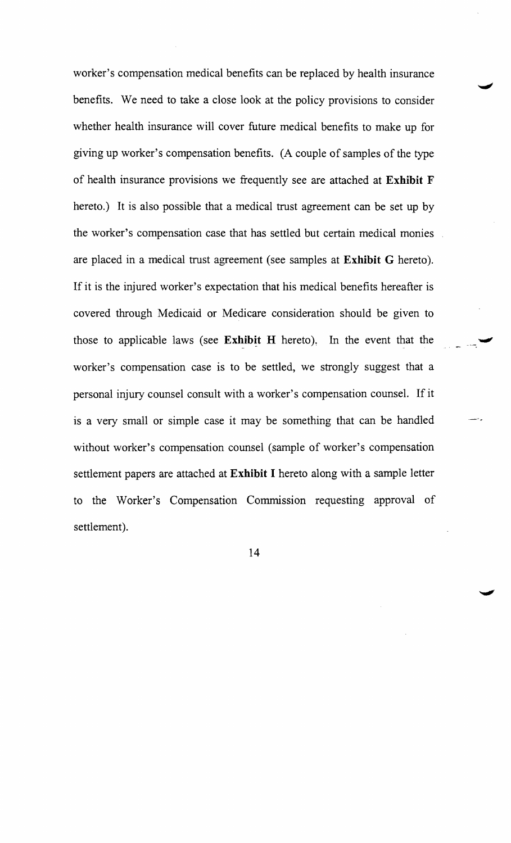worker's compensation medical benefits can be replaced by health insurance benefits. We need to take a close look at the policy provisions to consider whether health insurance will cover future medical benefits to make up for giving up worker's compensation benefits. (A couple of samples of the type of health insurance provisions we frequently see are attached at **Exhibit** F hereto.) It is also possible that a medical trust agreement can be set up by the worker's compensation case that has settled but certain medical monies are placed in a medical trust agreement (see samples at **Exhibit** G hereto). If it is the injured worker's expectation that his medical benefits hereafter is covered through Medicaid or Medicare consideration should be given to those to applicable laws (see Exhibit H hereto). In the event that the worker's compensation case is to be settled, we strongly suggest that a personal injury counsel consult with a worker's compensation counsel. If it is a very small or simple case it may be something that can be handled without worker's compensation counsel (sample of worker's compensation settlement papers are attached at **Exhibit I** hereto along with a sample letter to the Worker's Compensation Commission requesting approval of settlement).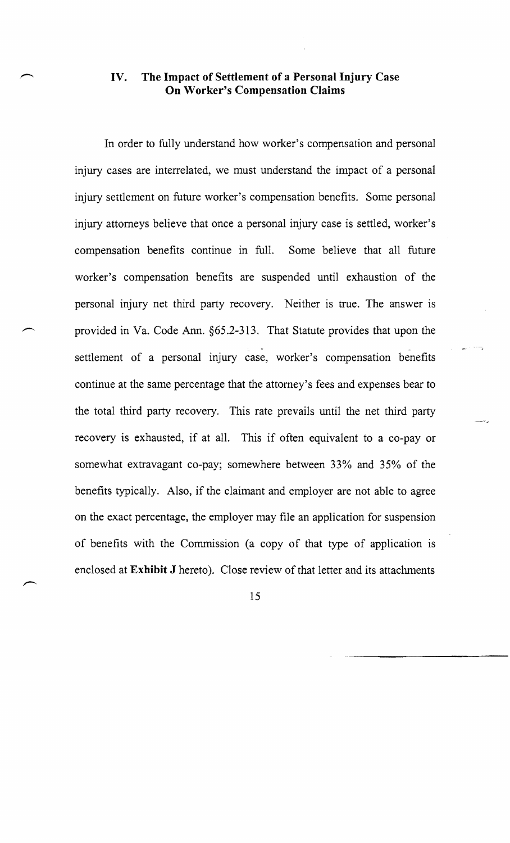# **IV. The Impact of Settlement of a Personal Injury Case On Worker's Compensation Claims**

In order to fully understand how worker's compensation and personal injury cases are interrelated, we must understand the impact of a personal injury settlement on future worker's compensation benefits. Some personal injury attorneys believe that once a personal injury case is settled, worker's compensation benefits continue in full. Some believe that all future worker's compensation benefits are suspended until exhaustion of the personal injury net third party recovery. Neither is true. The answer is provided in Va. Code Ann. §65.2-313. That Statute provides that upon the settlement of a personal injury case, worker's compensation benefits continue at the same percentage that the attorney's fees and expenses bear to the total third party recovery. This rate prevails until the net third party recovery is exhausted, if at all. This if often equivalent to a co-pay or somewhat extravagant co-pay; somewhere between 33% and 35% of the benefits typically. Also, if the claimant and employer are not able to agree on the exact percentage, the employer may file an application for suspension of benefits with the Commission (a copy of that type of application is enclosed at **Exhibit J** hereto). Close review of that letter and its attachments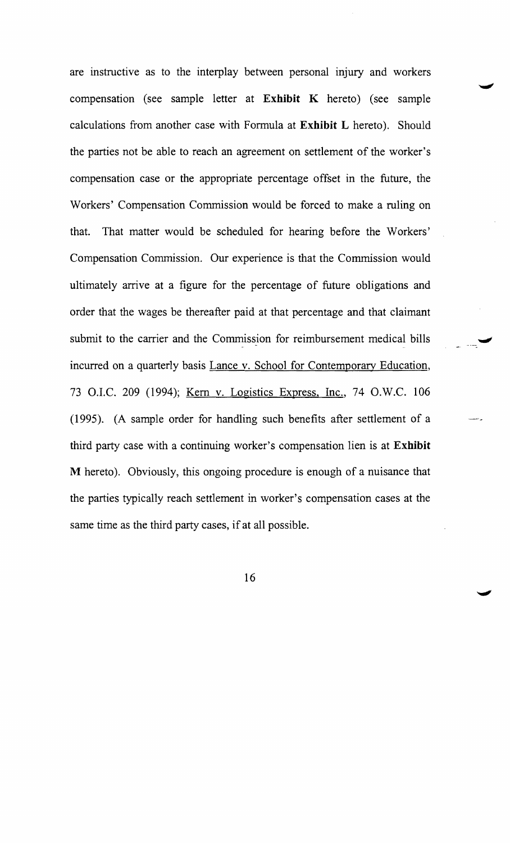are instructive as to the interplay between personal injury and workers compensation (see sample letter at **Exhibit K** hereto) (see sample calculations from another case with Formula at **Exhibit L** hereto). Should the parties not be able to reach an agreement on settlement of the worker's compensation case or the appropriate percentage offset in the future, the Workers' Compensation Commission would be forced to make a ruling on that. That matter would be scheduled for hearing before the Workers' Compensation Commission. Our experience is that the Commission would ultimately arrive at a figure for the percentage of future obligations and order that the wages be thereafter paid at that percentage and that claimant submit to the carrier and the Commission for reimbursement medical bills incurred on a quarterly basis Lance v. School for Contemporary Education, 73 O.I.C. 209 (1994); Kern v. Logistics Express, Inc., 74 O.W.C. 106 (1995). (A sample order for handling such benefits after settlement of a third party case with a continuing worker's compensation lien is at **Exhibit**  M hereto). Obviously, this ongoing procedure is enough of a nuisance that the parties typically reach settlement in worker's compensation cases at the same time as the third party cases, if at all possible.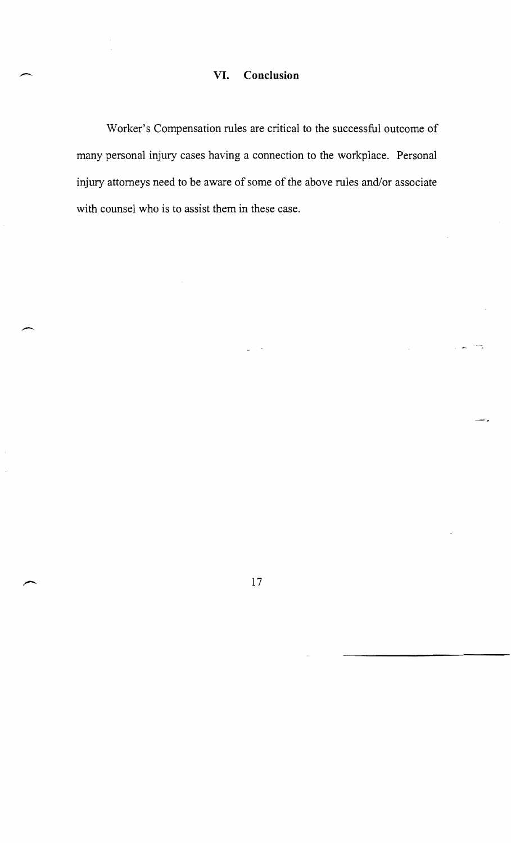# **VI. Conclusion**

Worker's Compensation rules are critical to the successful outcome of many personal injury cases having a connection to the workplace. Personal injury attorneys need to be aware of some of the above rules and/or associate with counsel who is to assist them in these case.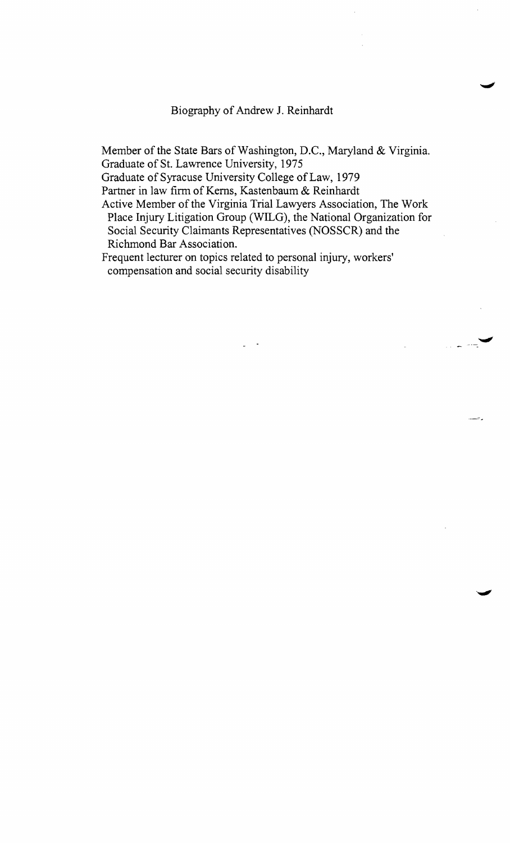Biography of Andrew J. Reinhardt

Member of the State Bars of Washington, D.C., Maryland & Virginia. Graduate of St. Lawrence University, 1975

Graduate of Syracuse University College of Law, 1979

Partner in law firm of Kerns, Kastenbaum & Reinhardt

Active Member of the Virginia Trial Lawyers Association, The Work Place Injury Litigation Group (WILG), the National Organization for Social Security Claimants Representatives (NOSSCR) and the Richmond Bar Association.

Frequent lecturer on topics related to personal injury, workers' compensation and social security disability